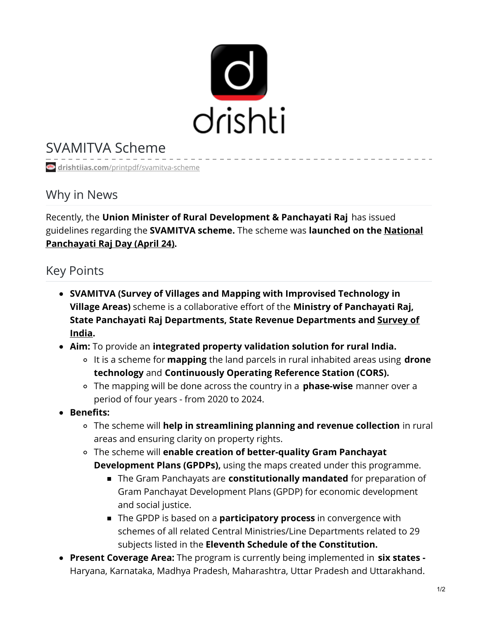

## SVAMITVA Scheme

**drishtiias.com**[/printpdf/svamitva-scheme](https://www.drishtiias.com/printpdf/svamitva-scheme)

## Why in News

Recently, the **Union Minister of Rural Development & Panchayati Raj** has issued guidelines regarding the **SVAMITVA scheme.** The scheme was **launched on the National [Panchayati](https://www.drishtiias.com/daily-updates/daily-news-analysis/national-panchayati-raj-day) Raj Day (April 24).**

## Key Points

- **SVAMITVA (Survey of Villages and Mapping with Improvised Technology in Village Areas)** scheme is a collaborative effort of the **Ministry of Panchayati Raj, State Panchayati Raj [Departments,](https://www.drishtiias.com/daily-updates/daily-news-analysis/sahyog-app-survey-of-india) State Revenue Departments and Survey of India.**
- **Aim:** To provide an **integrated property validation solution for rural India.**
	- It is a scheme for **mapping** the land parcels in rural inhabited areas using **drone technology** and **Continuously Operating Reference Station (CORS).**
	- The mapping will be done across the country in a **phase-wise** manner over a period of four years - from 2020 to 2024.
- **Benefits:**
	- The scheme will **help in streamlining planning and revenue collection** in rural areas and ensuring clarity on property rights.
	- The scheme will **enable creation of better-quality Gram Panchayat Development Plans (GPDPs),** using the maps created under this programme.
		- The Gram Panchayats are **constitutionally mandated** for preparation of Gram Panchayat Development Plans (GPDP) for economic development and social justice.
		- The GPDP is based on a **participatory process** in convergence with schemes of all related Central Ministries/Line Departments related to 29 subjects listed in the **Eleventh Schedule of the Constitution.**
- **Present Coverage Area:** The program is currently being implemented in **six states -** Haryana, Karnataka, Madhya Pradesh, Maharashtra, Uttar Pradesh and Uttarakhand.